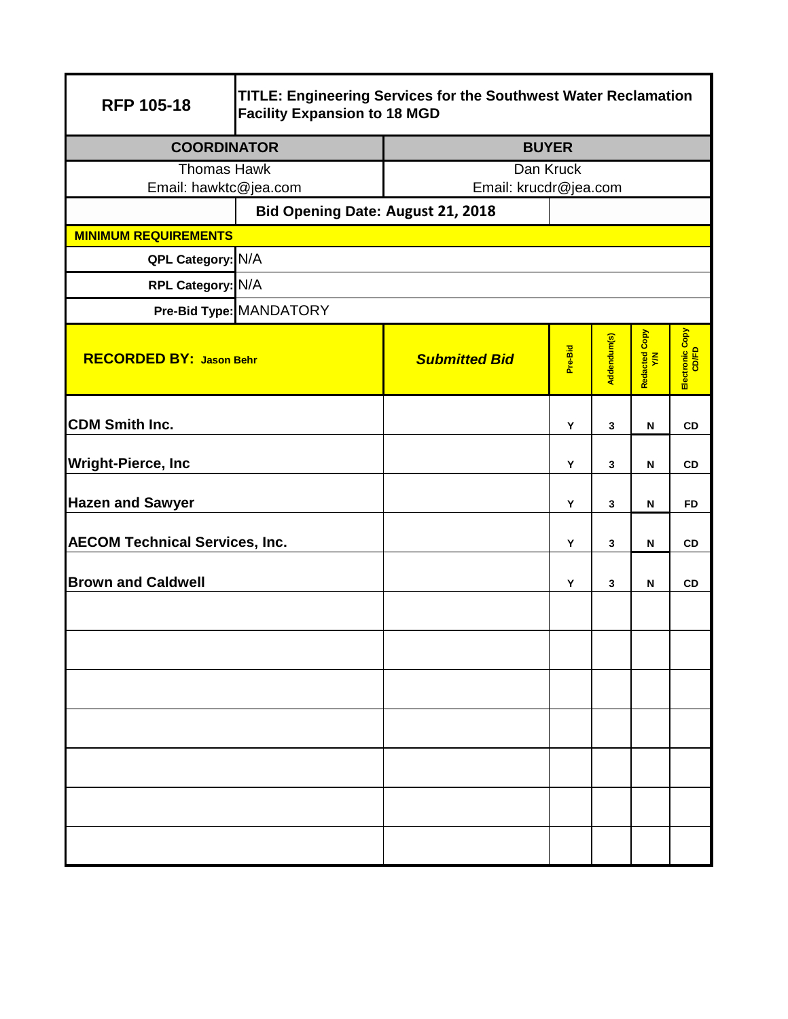| <b>RFP 105-18</b>                     | TITLE: Engineering Services for the Southwest Water Reclamation<br><b>Facility Expansion to 18 MGD</b> |                       |         |             |                           |                          |  |
|---------------------------------------|--------------------------------------------------------------------------------------------------------|-----------------------|---------|-------------|---------------------------|--------------------------|--|
| <b>COORDINATOR</b>                    |                                                                                                        | <b>BUYER</b>          |         |             |                           |                          |  |
| <b>Thomas Hawk</b>                    |                                                                                                        | Dan Kruck             |         |             |                           |                          |  |
| Email: hawktc@jea.com                 |                                                                                                        | Email: krucdr@jea.com |         |             |                           |                          |  |
|                                       | Bid Opening Date: August 21, 2018                                                                      |                       |         |             |                           |                          |  |
| <b>MINIMUM REQUIREMENTS</b>           |                                                                                                        |                       |         |             |                           |                          |  |
| QPL Category: N/A                     |                                                                                                        |                       |         |             |                           |                          |  |
| RPL Category: N/A                     |                                                                                                        |                       |         |             |                           |                          |  |
|                                       | Pre-Bid Type: MANDATORY                                                                                |                       |         |             |                           |                          |  |
| <b>RECORDED BY: Jason Behr</b>        |                                                                                                        | <b>Submitted Bid</b>  | Pre-Bid | Addendum(s) | Redacted Copy<br>Y/N      | Electronic Copy<br>CD/FD |  |
| <b>CDM Smith Inc.</b>                 |                                                                                                        |                       | Y       | 3           | N                         | <b>CD</b>                |  |
| <b>Wright-Pierce, Inc</b>             |                                                                                                        |                       | Υ       | 3           | $\boldsymbol{\mathsf{N}}$ | CD                       |  |
| <b>Hazen and Sawyer</b>               |                                                                                                        |                       | Y       | 3           | N                         | <b>FD</b>                |  |
| <b>AECOM Technical Services, Inc.</b> |                                                                                                        |                       | Y       | 3           | N                         | <b>CD</b>                |  |
| <b>Brown and Caldwell</b>             |                                                                                                        |                       | Y       | 3           | N                         | <b>CD</b>                |  |
|                                       |                                                                                                        |                       |         |             |                           |                          |  |
|                                       |                                                                                                        |                       |         |             |                           |                          |  |
|                                       |                                                                                                        |                       |         |             |                           |                          |  |
|                                       |                                                                                                        |                       |         |             |                           |                          |  |
|                                       |                                                                                                        |                       |         |             |                           |                          |  |
|                                       |                                                                                                        |                       |         |             |                           |                          |  |
|                                       |                                                                                                        |                       |         |             |                           |                          |  |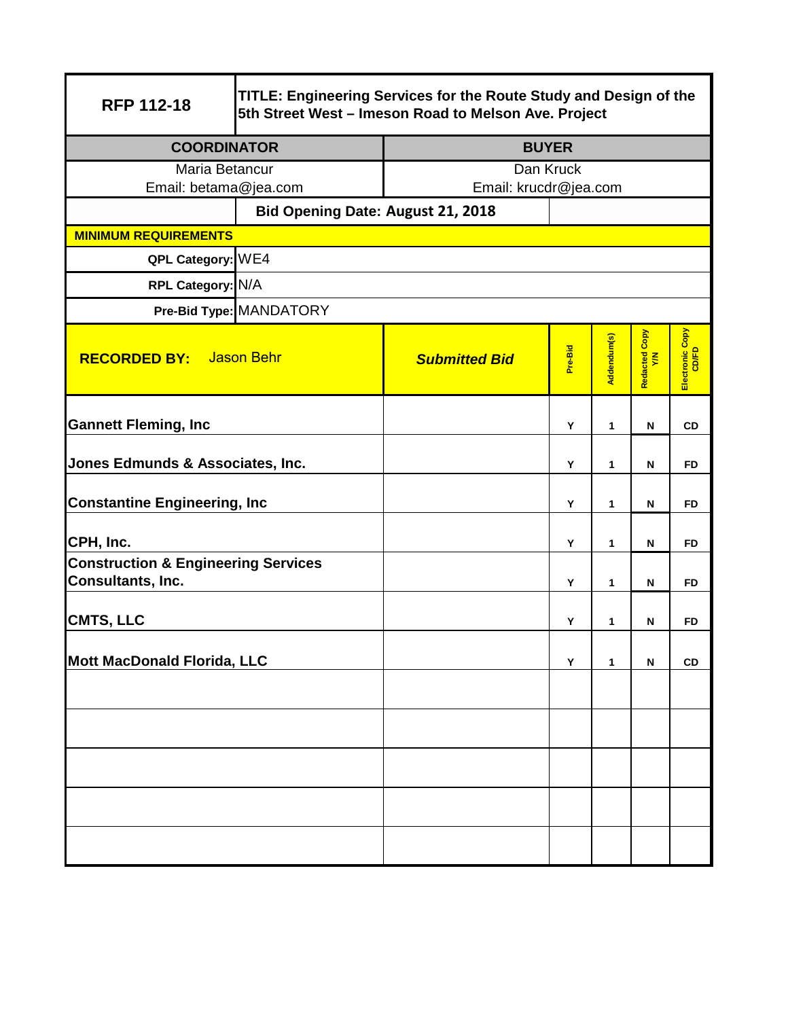| <b>RFP 112-18</b>                                                   | TITLE: Engineering Services for the Route Study and Design of the<br>5th Street West - Imeson Road to Melson Ave. Project |                       |         |             |                      |                          |  |
|---------------------------------------------------------------------|---------------------------------------------------------------------------------------------------------------------------|-----------------------|---------|-------------|----------------------|--------------------------|--|
| <b>COORDINATOR</b>                                                  |                                                                                                                           | <b>BUYER</b>          |         |             |                      |                          |  |
| Maria Betancur                                                      |                                                                                                                           | Dan Kruck             |         |             |                      |                          |  |
| Email: betama@jea.com                                               |                                                                                                                           | Email: krucdr@jea.com |         |             |                      |                          |  |
| <b>MINIMUM REQUIREMENTS</b>                                         | Bid Opening Date: August 21, 2018                                                                                         |                       |         |             |                      |                          |  |
| QPL Category: WE4                                                   |                                                                                                                           |                       |         |             |                      |                          |  |
| RPL Category: N/A                                                   |                                                                                                                           |                       |         |             |                      |                          |  |
|                                                                     | Pre-Bid Type: MANDATORY                                                                                                   |                       |         |             |                      |                          |  |
|                                                                     |                                                                                                                           |                       |         |             |                      |                          |  |
| <b>RECORDED BY:</b>                                                 | <b>Jason Behr</b>                                                                                                         | <b>Submitted Bid</b>  | Pre-Bid | Addendum(s) | Redacted Copy<br>Y/N | Electronic Copy<br>CD/FD |  |
| <b>Gannett Fleming, Inc</b>                                         |                                                                                                                           |                       | Y       | 1           | N                    | <b>CD</b>                |  |
| Jones Edmunds & Associates, Inc.                                    |                                                                                                                           |                       | Y       | 1           | $\mathsf{N}$         | <b>FD</b>                |  |
| <b>Constantine Engineering, Inc</b>                                 |                                                                                                                           |                       | Y       | 1           | $\mathsf{N}$         | <b>FD</b>                |  |
| CPH, Inc.                                                           |                                                                                                                           |                       | Y       | 1           | $\mathsf{N}$         | <b>FD</b>                |  |
| <b>Construction &amp; Engineering Services</b><br>Consultants, Inc. |                                                                                                                           |                       | Y       | 1           | N                    | <b>FD</b>                |  |
| <b>CMTS, LLC</b>                                                    |                                                                                                                           |                       | Y       | 1           | N                    | <b>FD</b>                |  |
| Mott MacDonald Florida, LLC                                         |                                                                                                                           |                       | Y       | 1           | N                    | <b>CD</b>                |  |
|                                                                     |                                                                                                                           |                       |         |             |                      |                          |  |
|                                                                     |                                                                                                                           |                       |         |             |                      |                          |  |
|                                                                     |                                                                                                                           |                       |         |             |                      |                          |  |
|                                                                     |                                                                                                                           |                       |         |             |                      |                          |  |
|                                                                     |                                                                                                                           |                       |         |             |                      |                          |  |